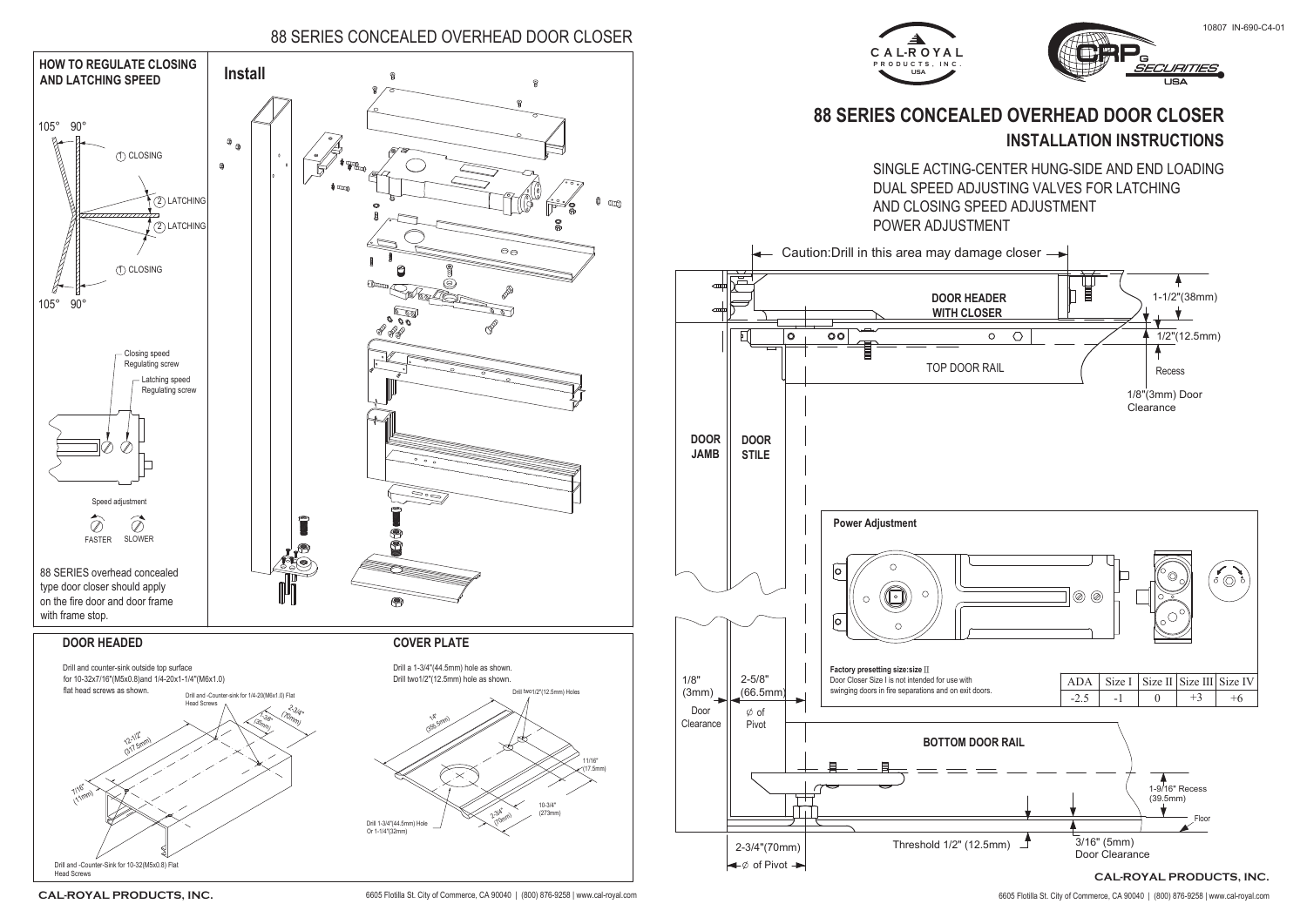## 88 SERIES CONCEALED OVERHEAD DOOR CLOSER

## **INSTALLATION INSTRUCTIONS 88 SERIES CONCEALED OVERHEAD DOOR CLOSER**





SINGLE ACTING-CENTER HUNG-SIDE AND END LOADING

CAL-ROYAL PRODUCTS, INC. 6605 Flotilla St. City of Commerce, CA 90040 | (800) 876-9258 | www.cal-royal.com 6605 Flotilla St. City of Commerce, CA 90040 | (800) 876-9258 | www.cal-royal.com